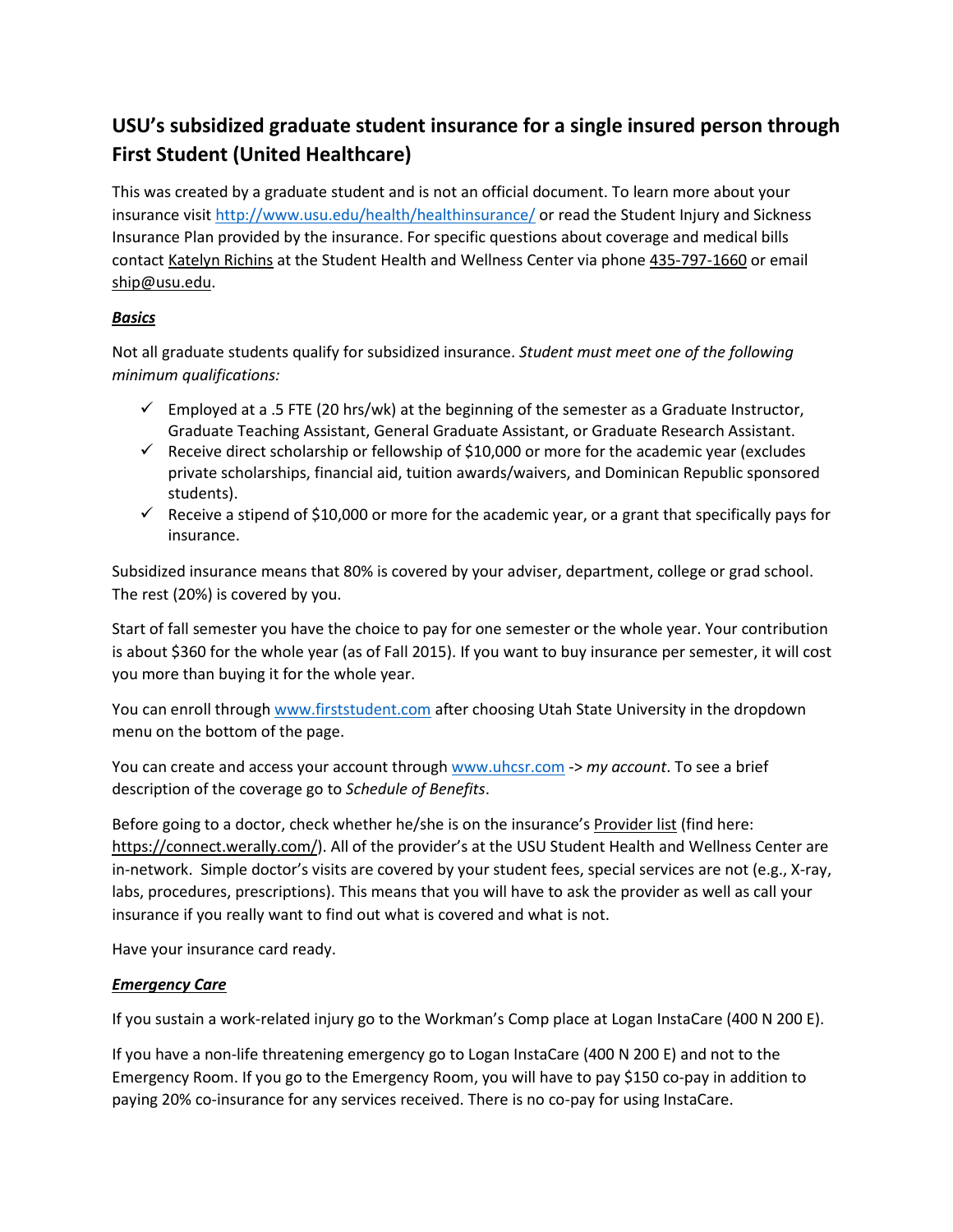# **USU's subsidized graduate student insurance for a single insured person through First Student (United Healthcare)**

This was created by a graduate student and is not an official document. To learn more about your insurance visit<http://www.usu.edu/health/healthinsurance/> or read the Student Injury and Sickness Insurance Plan provided by the insurance. For specific questions about coverage and medical bills contact Katelyn Richins at the Student Health and Wellness Center via phone 435-797-1660 or email ship@usu.edu.

# *Basics*

Not all graduate students qualify for subsidized insurance. *Student must meet one of the following minimum qualifications:*

- $\checkmark$  Employed at a .5 FTE (20 hrs/wk) at the beginning of the semester as a Graduate Instructor, Graduate Teaching Assistant, General Graduate Assistant, or Graduate Research Assistant.
- $\checkmark$  Receive direct scholarship or fellowship of \$10,000 or more for the academic year (excludes private scholarships, financial aid, tuition awards/waivers, and Dominican Republic sponsored students).
- $\checkmark$  Receive a stipend of \$10,000 or more for the academic year, or a grant that specifically pays for insurance.

Subsidized insurance means that 80% is covered by your adviser, department, college or grad school. The rest (20%) is covered by you.

Start of fall semester you have the choice to pay for one semester or the whole year. Your contribution is about \$360 for the whole year (as of Fall 2015). If you want to buy insurance per semester, it will cost you more than buying it for the whole year.

You can enroll throug[h www.firststudent.com](http://www.firststudent.com/) after choosing Utah State University in the dropdown menu on the bottom of the page.

You can create and access your account through [www.uhcsr.com](http://www.uhcsr.com/) -> *my account*. To see a brief description of the coverage go to *Schedule of Benefits*.

Before going to a doctor, check whether he/she is on the insurance's Provider list (find here: [https://connect.werally.com/\)](https://connect.werally.com/). All of the provider's at the USU Student Health and Wellness Center are in-network. Simple doctor's visits are covered by your student fees, special services are not (e.g., X-ray, labs, procedures, prescriptions). This means that you will have to ask the provider as well as call your insurance if you really want to find out what is covered and what is not.

Have your insurance card ready.

## *Emergency Care*

If you sustain a work-related injury go to the Workman's Comp place at Logan InstaCare (400 N 200 E).

If you have a non-life threatening emergency go to Logan InstaCare (400 N 200 E) and not to the Emergency Room. If you go to the Emergency Room, you will have to pay \$150 co-pay in addition to paying 20% co-insurance for any services received. There is no co-pay for using InstaCare.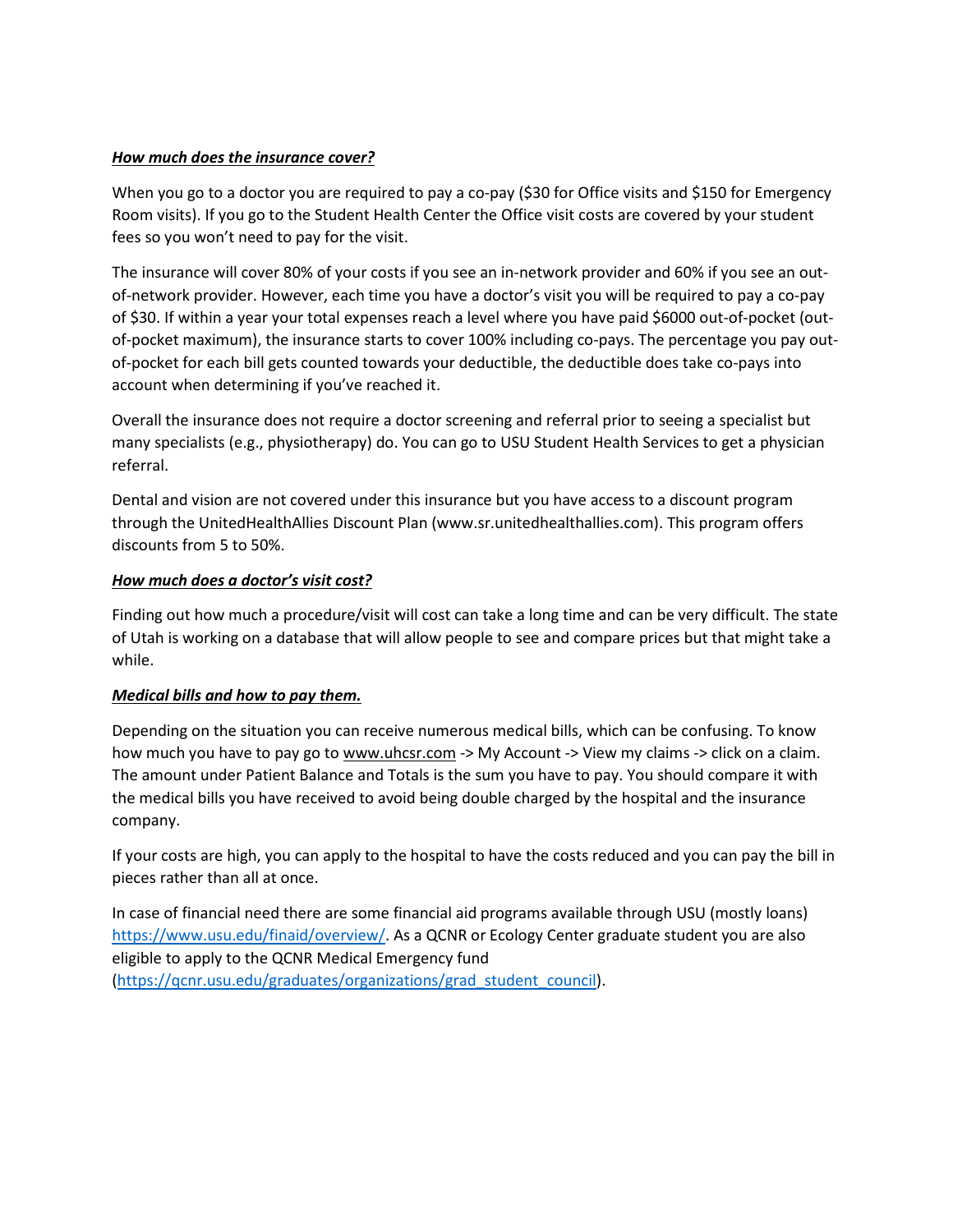### *How much does the insurance cover?*

When you go to a doctor you are required to pay a co-pay (\$30 for Office visits and \$150 for Emergency Room visits). If you go to the Student Health Center the Office visit costs are covered by your student fees so you won't need to pay for the visit.

The insurance will cover 80% of your costs if you see an in-network provider and 60% if you see an outof-network provider. However, each time you have a doctor's visit you will be required to pay a co-pay of \$30. If within a year your total expenses reach a level where you have paid \$6000 out-of-pocket (outof-pocket maximum), the insurance starts to cover 100% including co-pays. The percentage you pay outof-pocket for each bill gets counted towards your deductible, the deductible does take co-pays into account when determining if you've reached it.

Overall the insurance does not require a doctor screening and referral prior to seeing a specialist but many specialists (e.g., physiotherapy) do. You can go to USU Student Health Services to get a physician referral.

Dental and vision are not covered under this insurance but you have access to a discount program through the UnitedHealthAllies Discount Plan (www.sr.unitedhealthallies.com). This program offers discounts from 5 to 50%.

#### *How much does a doctor's visit cost?*

Finding out how much a procedure/visit will cost can take a long time and can be very difficult. The state of Utah is working on a database that will allow people to see and compare prices but that might take a while.

#### *Medical bills and how to pay them.*

Depending on the situation you can receive numerous medical bills, which can be confusing. To know how much you have to pay go to www.uhcsr.com -> My Account -> View my claims -> click on a claim. The amount under Patient Balance and Totals is the sum you have to pay. You should compare it with the medical bills you have received to avoid being double charged by the hospital and the insurance company.

If your costs are high, you can apply to the hospital to have the costs reduced and you can pay the bill in pieces rather than all at once.

In case of financial need there are some financial aid programs available through USU (mostly loans) [https://www.usu.edu/finaid/overview/.](https://www.usu.edu/finaid/overview/) As a QCNR or Ecology Center graduate student you are also eligible to apply to the QCNR Medical Emergency fund [\(https://qcnr.usu.edu/graduates/organizations/grad\\_student\\_council\)](https://qcnr.usu.edu/graduates/organizations/grad_student_council).